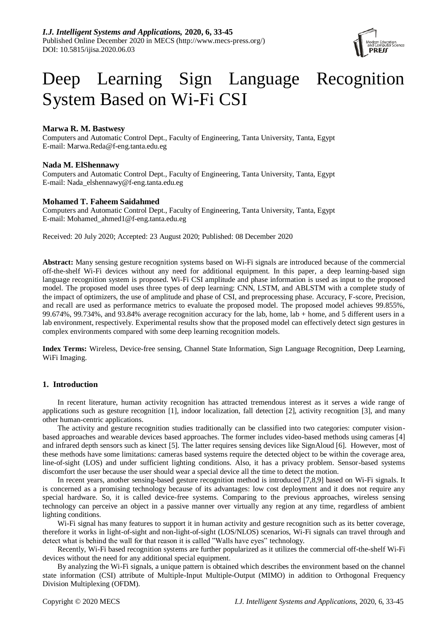

# Deep Learning Sign Language Recognition System Based on Wi-Fi CSI

# **Marwa R. M. Bastwesy**

Computers and Automatic Control Dept., Faculty of Engineering, Tanta University, Tanta, Egypt E-mail: Marwa.Reda@f-eng.tanta.edu.eg

# **Nada M. ElShennawy**

Computers and Automatic Control Dept., Faculty of Engineering, Tanta University, Tanta, Egypt E-mail: Nada\_elshennawy@f-eng.tanta.edu.eg

# **Mohamed T. Faheem Saidahmed**

Computers and Automatic Control Dept., Faculty of Engineering, Tanta University, Tanta, Egypt E-mail: Mohamed\_ahmed1@f-eng.tanta.edu.eg

Received: 20 July 2020; Accepted: 23 August 2020; Published: 08 December 2020

**Abstract:** Many sensing gesture recognition systems based on Wi-Fi signals are introduced because of the commercial off-the-shelf Wi-Fi devices without any need for additional equipment. In this paper, a deep learning-based sign language recognition system is proposed. Wi-Fi CSI amplitude and phase information is used as input to the proposed model. The proposed model uses three types of deep learning: CNN, LSTM, and ABLSTM with a complete study of the impact of optimizers, the use of amplitude and phase of CSI, and preprocessing phase. Accuracy, F-score, Precision, and recall are used as performance metrics to evaluate the proposed model. The proposed model achieves 99.855%, 99.674%, 99.734%, and 93.84% average recognition accuracy for the lab, home, lab + home, and 5 different users in a lab environment, respectively. Experimental results show that the proposed model can effectively detect sign gestures in complex environments compared with some deep learning recognition models.

**Index Terms:** Wireless, Device-free sensing, Channel State Information, Sign Language Recognition, Deep Learning, WiFi Imaging.

# **1. Introduction**

In recent literature, human activity recognition has attracted tremendous interest as it serves a wide range of applications such as gesture recognition [1], indoor localization, fall detection [2], activity recognition [3], and many other human-centric applications.

The activity and gesture recognition studies traditionally can be classified into two categories: computer visionbased approaches and wearable devices based approaches. The former includes video-based methods using cameras [4] and infrared depth sensors such as kinect [5]. The latter requires sensing devices like SignAloud [6]. However, most of these methods have some limitations: cameras based systems require the detected object to be within the coverage area, line-of-sight (LOS) and under sufficient lighting conditions. Also, it has a privacy problem. Sensor-based systems discomfort the user because the user should wear a special device all the time to detect the motion.

In recent years, another sensing-based gesture recognition method is introduced [7,8,9] based on Wi-Fi signals. It is concerned as a promising technology because of its advantages: low cost deployment and it does not require any special hardware. So, it is called device-free systems. Comparing to the previous approaches, wireless sensing technology can perceive an object in a passive manner over virtually any region at any time, regardless of ambient lighting conditions.

W<sub>i-Fi</sub> signal has many features to support it in human activity and gesture recognition such as its better coverage, therefore it works in light-of-sight and non-light-of-sight (LOS/NLOS) scenarios, Wi-Fi signals can travel through and detect what is behind the wall for that reason it is called "Walls have eyes" technology.

Recently, Wi-Fi based recognition systems are further popularized as it utilizes the commercial off-the-shelf Wi-Fi devices without the need for any additional special equipment.

By analyzing the Wi-Fi signals, a unique pattern is obtained which describes the environment based on the channel state information (CSI) attribute of Multiple-Input Multiple-Output (MIMO) in addition to Orthogonal Frequency Division Multiplexing (OFDM).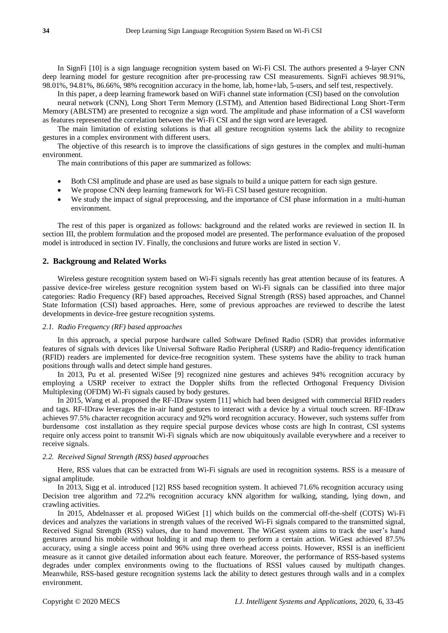In SignFi [10] is a sign language recognition system based on Wi-Fi CSI. The authors presented a 9-layer CNN deep learning model for gesture recognition after pre-processing raw CSI measurements. SignFi achieves 98.91%, 98.01%, 94.81%, 86.66%, 98% recognition accuracy in the home, lab, home+lab, 5-users, and self test, respectively.

In this paper, a deep learning framework based on WiFi channel state information (CSI) based on the convolution

neural network (CNN), Long Short Term Memory (LSTM), and Attention based Bidirectional Long Short-Term Memory (ABLSTM) are presented to recognize a sign word. The amplitude and phase information of a CSI waveform as features represented the correlation between the Wi-Fi CSI and the sign word are leveraged.

The main limitation of existing solutions is that all gesture recognition systems lack the ability to recognize gestures in a complex environment with different users.

The objective of this research is to improve the classifications of sign gestures in the complex and multi-human environment.

The main contributions of this paper are summarized as follows:

- Both CSI amplitude and phase are used as base signals to build a unique pattern for each sign gesture.
- We propose CNN deep learning framework for Wi-Fi CSI based gesture recognition.
- We study the impact of signal preprocessing, and the importance of CSI phase information in a multi-human environment.

The rest of this paper is organized as follows: background and the related works are reviewed in section II. In section III, the problem formulation and the proposed model are presented. The performance evaluation of the proposed model is introduced in section IV. Finally, the conclusions and future works are listed in section V.

## **2. Backgroung and Related Works**

Wireless gesture recognition system based on Wi-Fi signals recently has great attention because of its features. A passive device-free wireless gesture recognition system based on Wi-Fi signals can be classified into three major categories: Radio Frequency (RF) based approaches, Received Signal Strength (RSS) based approaches, and Channel State Information (CSI) based approaches. Here, some of previous approaches are reviewed to describe the latest developments in device-free gesture recognition systems.

## *2.1. Radio Frequency (RF) based approaches*

In this approach, a special purpose hardware called Software Defined Radio (SDR) that provides informative features of signals with devices like Universal Software Radio Peripheral (USRP) and Radio-frequency identification (RFID) readers are implemented for device-free recognition system. These systems have the ability to track human positions through walls and detect simple hand gestures.

In 2013, Pu et al. presented WiSee [9] recognized nine gestures and achieves 94% recognition accuracy by employing a USRP receiver to extract the Doppler shifts from the reflected Orthogonal Frequency Division Multiplexing (OFDM) Wi-Fi signals caused by body gestures.

In 2015, Wang et al. proposed the RF-IDraw system [11] which had been designed with commercial RFID readers and tags. RF-IDraw leverages the in-air hand gestures to interact with a device by a virtual touch screen. RF-IDraw achieves 97.5% character recognition accuracy and 92% word recognition accuracy. However, such systems suffer from burdensome cost installation as they require special purpose devices whose costs are high In contrast, CSI systems require only access point to transmit Wi-Fi signals which are now ubiquitously available everywhere and a receiver to receive signals.

## *2.2. Received Signal Strength (RSS) based approaches*

Here, RSS values that can be extracted from Wi-Fi signals are used in recognition systems. RSS is a measure of signal amplitude.

In 2013, Sigg et al. introduced [12] RSS based recognition system. It achieved 71.6% recognition accuracy using Decision tree algorithm and 72.2% recognition accuracy kNN algorithm for walking, standing, lying down, and crawling activities.

In 2015, Abdelnasser et al. proposed WiGest [1] which builds on the commercial off-the-shelf (COTS) Wi-Fi devices and analyzes the variations in strength values of the received Wi-Fi signals compared to the transmitted signal, Received Signal Strength (RSS) values, due to hand movement. The WiGest system aims to track the user's hand gestures around his mobile without holding it and map them to perform a certain action. WiGest achieved 87.5% accuracy, using a single access point and 96% using three overhead access points. However, RSSI is an inefficient measure as it cannot give detailed information about each feature. Moreover, the performance of RSS-based systems degrades under complex environments owing to the fluctuations of RSSI values caused by multipath changes. Meanwhile, RSS-based gesture recognition systems lack the ability to detect gestures through walls and in a complex environment.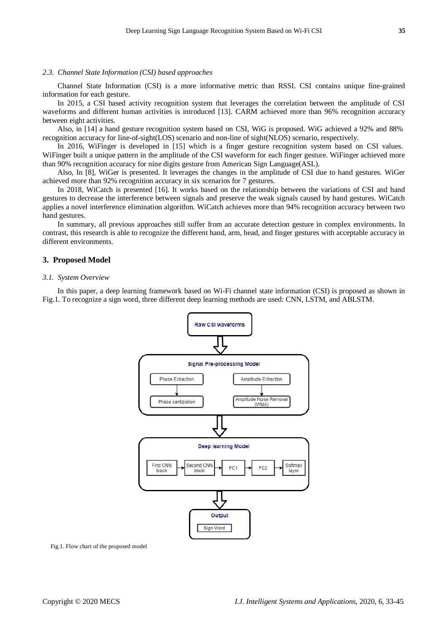# *2.3. Channel State Information (CSI) based approaches*

Channel State Information (CSI) is a more informative metric than RSSI. CSI contains unique fine-grained information for each gesture.

In 2015, a CSI based activity recognition system that leverages the correlation between the amplitude of CSI waveforms and different human activities is introduced [13]. CARM achieved more than 96% recognition accuracy between eight activities.

Also, in [14] a hand gesture recognition system based on CSI, WiG is proposed. WiG achieved a 92% and 88% recognition accuracy for line-of-sight(LOS) scenario and non-line of sight(NLOS) scenario, respectively.

In 2016, WiFinger is developed in [15] which is a finger gesture recognition system based on CSI values. WiFinger built a unique pattern in the amplitude of the CSI waveform for each finger gesture. WiFinger achieved more than 90% recognition accuracy for nine digits gesture from American Sign Language(ASL).

Also, In [8], WiGer is presented. It leverages the changes in the amplitude of CSI due to hand gestures. WiGer achieved more than 92% recognition accuracy in six scenarios for 7 gestures.

In 2018, WiCatch is presented [16]. It works based on the relationship between the variations of CSI and hand gestures to decrease the interference between signals and preserve the weak signals caused by hand gestures. WiCatch applies a novel interference elimination algorithm. WiCatch achieves more than 94% recognition accuracy between two hand gestures.

In summary, all previous approaches still suffer from an accurate detection gesture in complex environments. In contrast, this research is able to recognize the different hand, arm, head, and finger gestures with acceptable accuracy in different environments.

# **3. Proposed Model**

#### *3.1. System Overview*

In this paper, a deep learning framework based on Wi-Fi channel state information (CSI) is proposed as shown in Fig.1. To recognize a sign word, three different deep learning methods are used: CNN, LSTM, and ABLSTM.



Fig.1. Flow chart of the proposed model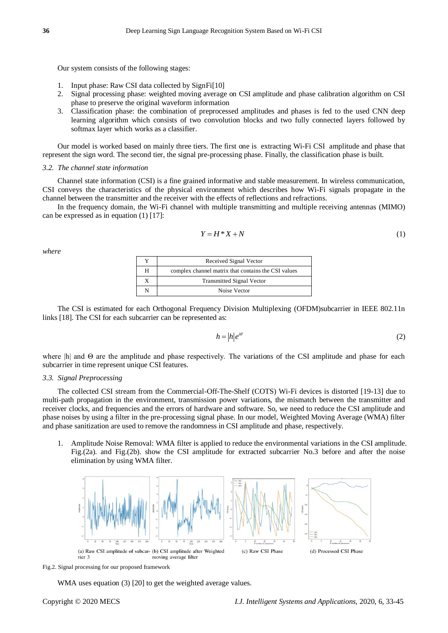Our system consists of the following stages:

- 1. Input phase: Raw CSI data collected by SignFi[10]
- 2. Signal processing phase: weighted moving average on CSI amplitude and phase calibration algorithm on CSI phase to preserve the original waveform information
- 3. Classification phase: the combination of preprocessed amplitudes and phases is fed to the used CNN deep learning algorithm which consists of two convolution blocks and two fully connected layers followed by softmax layer which works as a classifier.

Our model is worked based on mainly three tiers. The first one is extracting Wi-Fi CSI amplitude and phase that represent the sign word. The second tier, the signal pre-processing phase. Finally, the classification phase is built.

## *3.2. The channel state information*

Channel state information (CSI) is a fine grained informative and stable measurement. In wireless communication, CSI conveys the characteristics of the physical environment which describes how Wi-Fi signals propagate in the channel between the transmitter and the receiver with the effects of reflections and refractions.

In the frequency domain, the Wi-Fi channel with multiple transmitting and multiple receiving antennas (MIMO) can be expressed as in equation (1) [17]:

$$
Y = H^*X + N \tag{1}
$$

*where*

|   | Received Signal Vector                              |
|---|-----------------------------------------------------|
| H | complex channel matrix that contains the CSI values |
|   | <b>Transmitted Signal Vector</b>                    |
|   | Noise Vector                                        |

The CSI is estimated for each Orthogonal Frequency Division Multiplexing (OFDM)subcarrier in IEEE 802.11n links [18]. The CSI for each subcarrier can be represented as:

$$
h = |h|e^{i\theta} \tag{2}
$$

where |h| and Θ are the amplitude and phase respectively. The variations of the CSI amplitude and phase for each subcarrier in time represent unique CSI features.

# *3.3. Signal Preprocessing*

The collected CSI stream from the Commercial-Off-The-Shelf (COTS) Wi-Fi devices is distorted [19-13] due to multi-path propagation in the environment, transmission power variations, the mismatch between the transmitter and receiver clocks, and frequencies and the errors of hardware and software. So, we need to reduce the CSI amplitude and phase noises by using a filter in the pre-processing signal phase. In our model, Weighted Moving Average (WMA) filter and phase sanitization are used to remove the randomness in CSI amplitude and phase, respectively.

1. Amplitude Noise Removal: WMA filter is applied to reduce the environmental variations in the CSI amplitude. Fig.(2a). and Fig.(2b). show the CSI amplitude for extracted subcarrier No.3 before and after the noise elimination by using WMA filter.



Fig.2. Signal processing for our proposed framework

WMA uses equation (3) [20] to get the weighted average values.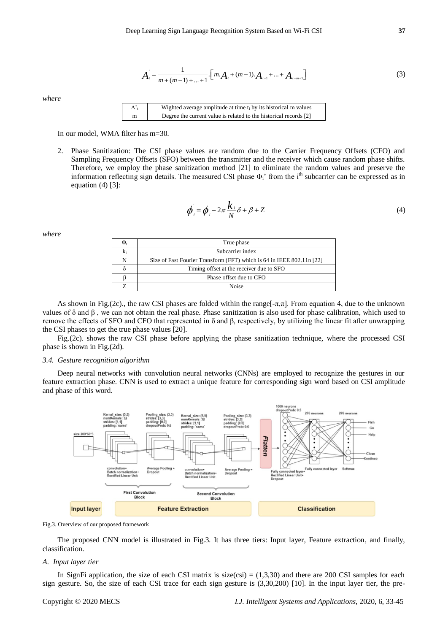$$
A_{i} = \frac{1}{m + (m-1) + ... + 1} \cdot [m \cdot A_{i} + (m-1) \cdot A_{i-1} + ... + A_{i-m+1}]
$$
\n(3)

*where*

| $A^{\prime}$ | Wighted average amplitude at time $t_i$ by its historical m values |
|--------------|--------------------------------------------------------------------|
| m            | Degree the current value is related to the historical records [2]  |

In our model, WMA filter has m=30.

2. Phase Sanitization: The CSI phase values are random due to the Carrier Frequency Offsets (CFO) and Sampling Frequency Offsets (SFO) between the transmitter and the receiver which cause random phase shifts. Therefore, we employ the phase sanitization method [21] to eliminate the random values and preserve the information reflecting sign details. The measured CSI phase  $\Phi_i$ ' from the i<sup>th</sup> subcarrier can be expressed as in equation  $(4)$  [3]:

$$
\phi_i = \phi_i - 2\pi \frac{k_i}{N} \delta + \beta + Z \tag{4}
$$

*where*

| Ф, | True phase                                                             |
|----|------------------------------------------------------------------------|
| k, | Subcarrier index                                                       |
|    | Size of Fast Fourier Transform (FFT) which is 64 in IEEE 802.11 n [22] |
|    | Timing offset at the receiver due to SFO                               |
|    | Phase offset due to CFO                                                |
|    | Noise                                                                  |

As shown in Fig.(2c)., the raw CSI phases are folded within the range[ $-\pi,\pi$ ]. From equation 4, due to the unknown values of δ and β , we can not obtain the real phase. Phase sanitization is also used for phase calibration, which used to remove the effects of SFO and CFO that represented in δ and β, respectively, by utilizing the linear fit after unwrapping the CSI phases to get the true phase values [20].

Fig.(2c). shows the raw CSI phase before applying the phase sanitization technique, where the processed CSI phase is shown in Fig.(2d).

#### *3.4. Gesture recognition algorithm*

Deep neural networks with convolution neural networks (CNNs) are employed to recognize the gestures in our feature extraction phase. CNN is used to extract a unique feature for corresponding sign word based on CSI amplitude and phase of this word.



Fig.3. Overview of our proposed framework

The proposed CNN model is illustrated in Fig.3. It has three tiers: Input layer, Feature extraction, and finally, classification.

# *A. Input layer tier*

In SignFi application, the size of each CSI matrix is  $size(csi) = (1,3,30)$  and there are 200 CSI samples for each sign gesture. So, the size of each CSI trace for each sign gesture is (3,30,200) [10]. In the input layer tier, the pre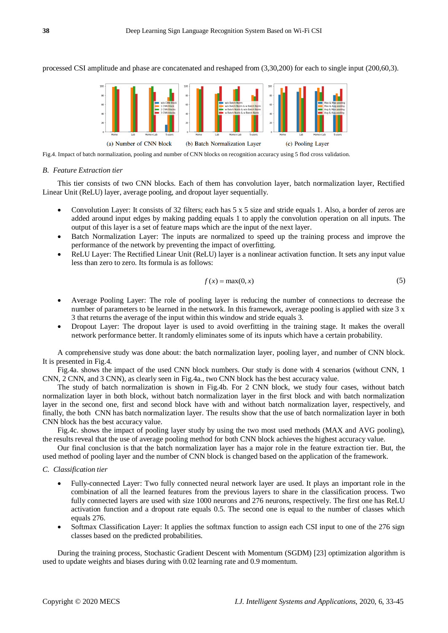processed CSI amplitude and phase are concatenated and reshaped from (3,30,200) for each to single input (200,60,3).



Fig.4. Impact of batch normalization, pooling and number of CNN blocks on recognition accuracy using 5 flod cross validation.

#### *B. Feature Extraction tier*

This tier consists of two CNN blocks. Each of them has convolution layer, batch normalization layer, Rectified Linear Unit (ReLU) layer, average pooling, and dropout layer sequentially.

- Convolution Layer: It consists of 32 filters; each has 5 x 5 size and stride equals 1. Also, a border of zeros are added around input edges by making padding equals 1 to apply the convolution operation on all inputs. The output of this layer is a set of feature maps which are the input of the next layer.
- Batch Normalization Layer: The inputs are normalized to speed up the training process and improve the performance of the network by preventing the impact of overfitting.
- ReLU Layer: The Rectified Linear Unit (ReLU) layer is a nonlinear activation function. It sets any input value less than zero to zero. Its formula is as follows:

$$
f(x) = \max(0, x) \tag{5}
$$

- Average Pooling Layer: The role of pooling layer is reducing the number of connections to decrease the number of parameters to be learned in the network. In this framework, average pooling is applied with size 3 x 3 that returns the average of the input within this window and stride equals 3.
- Dropout Layer: The dropout layer is used to avoid overfitting in the training stage. It makes the overall network performance better. It randomly eliminates some of its inputs which have a certain probability.

A comprehensive study was done about: the batch normalization layer, pooling layer, and number of CNN block. It is presented in Fig.4.

Fig.4a. shows the impact of the used CNN block numbers. Our study is done with 4 scenarios (without CNN, 1 CNN, 2 CNN, and 3 CNN), as clearly seen in Fig.4a., two CNN block has the best accuracy value.

The study of batch normalization is shown in Fig.4b. For 2 CNN block, we study four cases, without batch normalization layer in both block, without batch normalization layer in the first block and with batch normalization layer in the second one, first and second block have with and without batch normalization layer, respectively, and finally, the both CNN has batch normalization layer. The results show that the use of batch normalization layer in both CNN block has the best accuracy value.

Fig.4c. shows the impact of pooling layer study by using the two most used methods (MAX and AVG pooling), the results reveal that the use of average pooling method for both CNN block achieves the highest accuracy value.

Our final conclusion is that the batch normalization layer has a major role in the feature extraction tier. But, the used method of pooling layer and the number of CNN block is changed based on the application of the framework.

#### *C. Classification tier*

- Fully-connected Layer: Two fully connected neural network layer are used. It plays an important role in the combination of all the learned features from the previous layers to share in the classification process. Two fully connected layers are used with size 1000 neurons and 276 neurons, respectively. The first one has ReLU activation function and a dropout rate equals 0.5. The second one is equal to the number of classes which equals 276.
- Softmax Classification Layer: It applies the softmax function to assign each CSI input to one of the 276 sign classes based on the predicted probabilities.

During the training process, Stochastic Gradient Descent with Momentum (SGDM) [23] optimization algorithm is used to update weights and biases during with 0.02 learning rate and 0.9 momentum.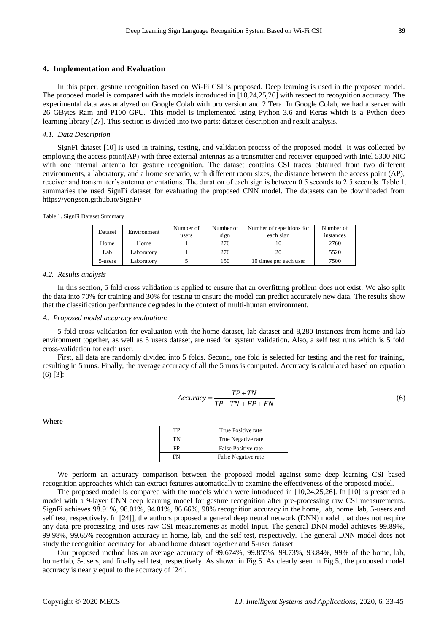# **4. Implementation and Evaluation**

In this paper, gesture recognition based on Wi-Fi CSI is proposed. Deep learning is used in the proposed model. The proposed model is compared with the models introduced in [10,24,25,26] with respect to recognition accuracy. The experimental data was analyzed on Google Colab with pro version and 2 Tera. In Google Colab, we had a server with 26 GBytes Ram and P100 GPU. This model is implemented using Python 3.6 and Keras which is a Python deep learning library [27]. This section is divided into two parts: dataset description and result analysis.

## *4.1. Data Description*

SignFi dataset [10] is used in training, testing, and validation process of the proposed model. It was collected by employing the access point(AP) with three external antennas as a transmitter and receiver equipped with Intel 5300 NIC with one internal antenna for gesture recognition. The dataset contains CSI traces obtained from two different environments, a laboratory, and a home scenario, with different room sizes, the distance between the access point (AP), receiver and transmitter's antenna orientations. The duration of each sign is between 0.5 seconds to 2.5 seconds. Table 1. summaries the used SignFi dataset for evaluating the proposed CNN model. The datasets can be downloaded from https://yongsen.github.io/SignFi/

|  |  |  |  | Table 1. SignFi Dataset Summary |
|--|--|--|--|---------------------------------|
|--|--|--|--|---------------------------------|

| Dataset | Environment | Number of | Number of | Number of repetitions for | Number of |
|---------|-------------|-----------|-----------|---------------------------|-----------|
|         |             | users     | sign      | each sign                 | instances |
| Home    | Home        |           | 276       |                           | 2760      |
| Lab     | Laboratorv  |           | 276       |                           | 5520      |
| 5-users | Laboratory  |           | 150       | 10 times per each user    | 7500      |

## *4.2. Results analysis*

In this section, 5 fold cross validation is applied to ensure that an overfitting problem does not exist. We also split the data into 70% for training and 30% for testing to ensure the model can predict accurately new data. The results show that the classification performance degrades in the context of multi-human environment.

# *A. Proposed model accuracy evaluation:*

5 fold cross validation for evaluation with the home dataset, lab dataset and 8,280 instances from home and lab environment together, as well as 5 users dataset, are used for system validation. Also, a self test runs which is 5 fold cross-validation for each user.

First, all data are randomly divided into 5 folds. Second, one fold is selected for testing and the rest for training, resulting in 5 runs. Finally, the average accuracy of all the 5 runs is computed. Accuracy is calculated based on equation (6) [3]:

$$
Accuracy = \frac{TP + TN}{TP + TN + FP + FN}
$$
\n<sup>(6)</sup>

Where

| ΊP | True Positive rate  |
|----|---------------------|
| тN | True Negative rate  |
| FP | False Positive rate |
|    | False Negative rate |

We perform an accuracy comparison between the proposed model against some deep learning CSI based recognition approaches which can extract features automatically to examine the effectiveness of the proposed model.

The proposed model is compared with the models which were introduced in [10,24,25,26]. In [10] is presented a model with a 9-layer CNN deep learning model for gesture recognition after pre-processing raw CSI measurements. SignFi achieves 98.91%, 98.01%, 94.81%, 86.66%, 98% recognition accuracy in the home, lab, home+lab, 5-users and self test, respectively. In [24]], the authors proposed a general deep neural network (DNN) model that does not require any data pre-processing and uses raw CSI measurements as model input. The general DNN model achieves 99.89%, 99.98%, 99.65% recognition accuracy in home, lab, and the self test, respectively. The general DNN model does not study the recognition accuracy for lab and home dataset together and 5-user dataset.

Our proposed method has an average accuracy of 99.674%, 99.855%, 99.73%, 93.84%, 99% of the home, lab, home+lab, 5-users, and finally self test, respectively. As shown in Fig.5. As clearly seen in Fig.5., the proposed model accuracy is nearly equal to the accuracy of [24].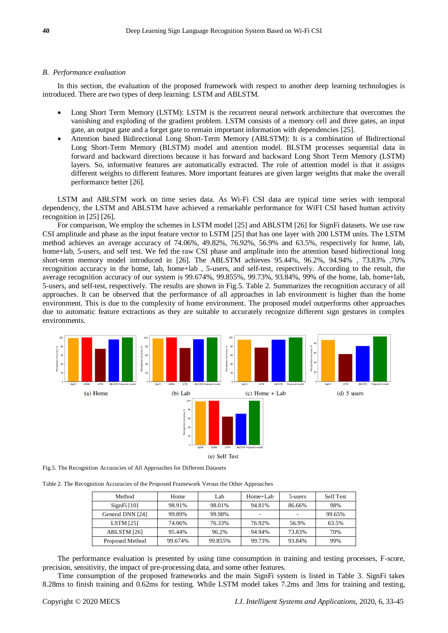## *B. Performance evaluation*

In this section, the evaluation of the proposed framework with respect to another deep learning technologies is introduced. There are two types of deep learning: LSTM and ABLSTM.

- Long Short Term Memory (LSTM): LSTM is the recurrent neural network architecture that overcomes the vanishing and exploding of the gradient problem. LSTM consists of a memory cell and three gates, an input gate, an output gate and a forget gate to remain important information with dependencies [25].
- Attention based Bidirectional Long Short-Term Memory (ABLSTM): It is a combination of Bidirectional Long Short-Term Memory (BLSTM) model and attention model. BLSTM processes sequential data in forward and backward directions because it has forward and backward Long Short Term Memory (LSTM) layers. So, informative features are automatically extracted. The role of attention model is that it assigns different weights to different features. More important features are given larger weights that make the overall performance better [26].

LSTM and ABLSTM work on time series data. As Wi-Fi CSI data are typical time series with temporal dependency, the LSTM and ABLSTM have achieved a remarkable performance for WiFI CSI based human activity recognition in [25] [26].

For comparison, We employ the schemes in LSTM model [25] and ABLSTM [26] for SignFi datasets. We use raw CSI amplitude and phase as the input feature vector to LSTM [25] that has one layer with 200 LSTM units. The LSTM method achieves an average accuracy of 74.06%, 49.82%, 76.92%, 56.9% and 63.5%, respectively for home, lab, home+lab, 5-users, and self test. We fed the raw CSI phase and amplitude into the attention based bidirectional long short-term memory model introduced in [26]. The ABLSTM achieves 95.44%, 96.2%, 94.94% , 73.83% ,70% recognition accuracy in the home, lab, home+lab , 5-users, and self-test, respectively. According to the result, the average recognition accuracy of our system is 99.674%, 99.855%, 99.73%, 93.84%, 99% of the home, lab, home+lab, 5-users, and self-test, respectively. The results are shown in Fig.5. Table 2. Summarizes the recognition accuracy of all approaches. It can be observed that the performance of all approaches in lab environment is higher than the home environment. This is due to the complexity of home environment. The proposed model outperforms other approaches due to automatic feature extractions as they are suitable to accurately recognize different sign gestures in complex environments.



Fig.5. The Recognition Accuracies of All Approaches for Different Datasets

Table 2. The Recognition Accuracies of the Proposed Framework Versus the Other Approaches

| Method           | Home    | Lab     | $Home+Lab$ | 5-users | Self Test |
|------------------|---------|---------|------------|---------|-----------|
| $SignFi$ [10]    | 98.91%  | 98.01%  | 94.81%     | 86.66%  | 98%       |
| General DNN [24] | 99.89%  | 99.98%  | -          | -       | 99.65%    |
| LSTM $[25]$      | 74.06%  | 76.33%  | 76.92%     | 56.9%   | 63.5%     |
| ABLSTM [26]      | 95.44%  | 96.2%   | 94.94%     | 73.83%  | 70%       |
| Proposed Method  | 99.674% | 99.855% | 99.73%     | 93.84%  | 99%       |

The performance evaluation is presented by using time consumption in training and testing processes, F-score, precision, sensitivity, the impact of pre-processing data, and some other features.

Time consumption of the proposed frameworks and the main SignFi system is listed in Table 3. SignFi takes 8.28ms to finish training and 0.62ms for testing. While LSTM model takes 7.2ms and 3ms for training and testing,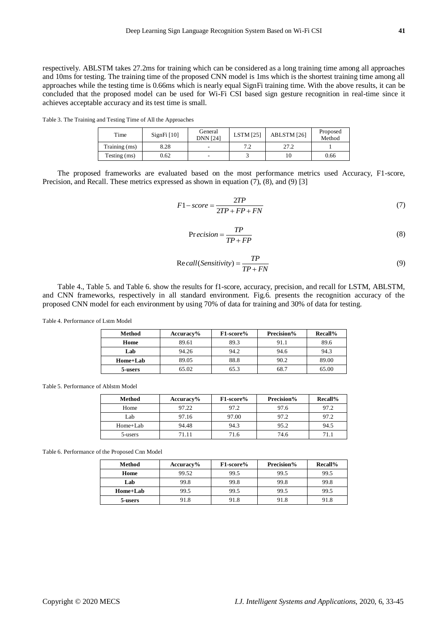respectively. ABLSTM takes 27.2ms for training which can be considered as a long training time among all approaches and 10ms for testing. The training time of the proposed CNN model is 1ms which is the shortest training time among all approaches while the testing time is 0.66ms which is nearly equal SignFi training time. With the above results, it can be concluded that the proposed model can be used for Wi-Fi CSI based sign gesture recognition in real-time since it achieves acceptable accuracy and its test time is small.

Table 3. The Training and Testing Time of All the Approaches

| Time          | $SignFi$ [10] | General<br><b>DNN</b> [24] | <b>LSTM</b> [25] | ABLSTM [26] | Proposed<br>Method |
|---------------|---------------|----------------------------|------------------|-------------|--------------------|
| Training (ms) | 8.28          |                            | 7. 7<br>ے .      | 27.2        |                    |
| Testing (ms)  | 0.62          | -                          |                  |             | 0.66               |

The proposed frameworks are evaluated based on the most performance metrics used Accuracy, F1-score, Precision, and Recall. These metrics expressed as shown in equation (7), (8), and (9) [3]

$$
F1-score = \frac{2TP}{2TP + FP + FN}
$$
\n<sup>(7)</sup>

$$
Precision = \frac{TP}{TP + FP}
$$
 (8)

$$
Recall(Sensitivity) = \frac{TP}{TP + FN}
$$
\n(9)

Table 4., Table 5. and Table 6. show the results for f1-score, accuracy, precision, and recall for LSTM, ABLSTM, and CNN frameworks, respectively in all standard environment. Fig.6. presents the recognition accuracy of the proposed CNN model for each environment by using 70% of data for training and 30% of data for testing.

Table 4. Performance of Lstm Model

| Method   | $Accuracy\%$ | F1-score% | Precision% | Recall% |
|----------|--------------|-----------|------------|---------|
| Home     | 89.61        | 89.3      | 91.1       | 89.6    |
| Lab      | 94.26        | 94.2      | 94.6       | 94.3    |
| Home+Lab | 89.05        | 88.8      | 90.2       | 89.00   |
| 5-users  | 65.02        | 65.3      | 68.7       | 65.00   |

Table 5. Performance of Ablstm Model

| Method     | $Accuracy\%$ | F1-score% | Precision% | Recall% |
|------------|--------------|-----------|------------|---------|
| Home       | 97.22        | 97.2      | 97.6       | 97.2    |
| Lab        | 97.16        | 97.00     | 97.2       | 97.2    |
| $Home+Lab$ | 94.48        | 94.3      | 95.2       | 94.5    |
| 5-users    | 71.11        | 71.6      | 74.6       |         |

Table 6. Performance of the Proposed Cnn Model

| Method   | $Accuracy\%$ | F1-score% | Precision% | Recall% |
|----------|--------------|-----------|------------|---------|
| Home     | 99.52        | 99.5      | 99.5       | 99.5    |
| Lab      | 99.8         | 99.8      | 99.8       | 99.8    |
| Home+Lab | 99.5         | 99.5      | 99.5       | 99.5    |
| 5-users  | 91.8         | 91.8      | 91.8       | 91.8    |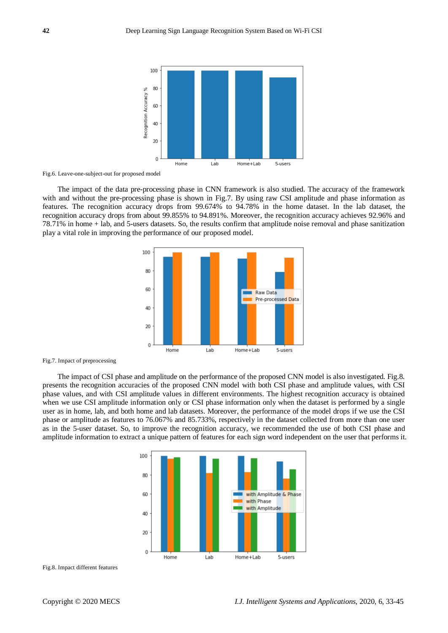

Fig.6. Leave-one-subject-out for proposed model

The impact of the data pre-processing phase in CNN framework is also studied. The accuracy of the framework with and without the pre-processing phase is shown in Fig.7. By using raw CSI amplitude and phase information as features. The recognition accuracy drops from 99.674% to 94.78% in the home dataset. In the lab dataset, the recognition accuracy drops from about 99.855% to 94.891%. Moreover, the recognition accuracy achieves 92.96% and 78.71% in home + lab, and 5-users datasets. So, the results confirm that amplitude noise removal and phase sanitization play a vital role in improving the performance of our proposed model.



Fig.7. Impact of preprocessing

The impact of CSI phase and amplitude on the performance of the proposed CNN model is also investigated. Fig.8. presents the recognition accuracies of the proposed CNN model with both CSI phase and amplitude values, with CSI phase values, and with CSI amplitude values in different environments. The highest recognition accuracy is obtained when we use CSI amplitude information only or CSI phase information only when the dataset is performed by a single user as in home, lab, and both home and lab datasets. Moreover, the performance of the model drops if we use the CSI phase or amplitude as features to 76.067% and 85.733%, respectively in the dataset collected from more than one user as in the 5-user dataset. So, to improve the recognition accuracy, we recommended the use of both CSI phase and amplitude information to extract a unique pattern of features for each sign word independent on the user that performs it.



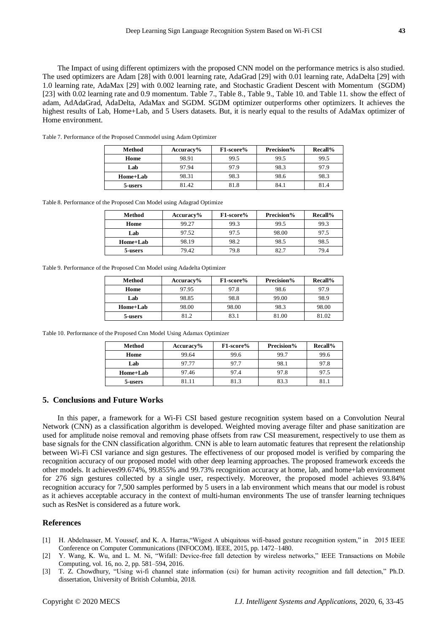The Impact of using different optimizers with the proposed CNN model on the performance metrics is also studied. The used optimizers are Adam [28] with 0.001 learning rate, AdaGrad [29] with 0.01 learning rate, AdaDelta [29] with 1.0 learning rate, AdaMax [29] with 0.002 learning rate, and Stochastic Gradient Descent with Momentum (SGDM) [23] with 0.02 learning rate and 0.9 momentum. Table 7., Table 8., Table 9., Table 10. and Table 11. show the effect of adam, AdAdaGrad, AdaDelta, AdaMax and SGDM. SGDM optimizer outperforms other optimizers. It achieves the highest results of Lab, Home+Lab, and 5 Users datasets. But, it is nearly equal to the results of AdaMax optimizer of Home environment.

| Method   | $Accuracy\%$ | F1-score% | Precision% | Recall% |
|----------|--------------|-----------|------------|---------|
| Home     | 98.91        | 99.5      | 99.5       | 99.5    |
| Lab      | 97.94        | 97.9      | 98.3       | 97.9    |
| Home+Lab | 98.31        | 98.3      | 98.6       | 98.3    |
| 5-users  | 81.42        | 81.8      | 84.1       | 81.4    |

Table 7. Performance of the Proposed Cnnmodel using Adam Optimizer

Table 8. Performance of the Proposed Cnn Model using Adagrad Optimize

| Method   | $Accuracy\%$ | F1-score% | Precision% | <b>Recall%</b> |
|----------|--------------|-----------|------------|----------------|
| Home     | 99.27        | 99.3      | 99.5       | 99.3           |
| Lab      | 97.52        | 97.5      | 98.00      | 97.5           |
| Home+Lab | 98.19        | 98.2      | 98.5       | 98.5           |
| 5-users  | 79.42        | 79.8      | 82.7       | 794            |

Table 9. Performance of the Proposed Cnn Model using Adadelta Optimizer

| Method   | Accuracy% | F1-score% | Precision% | Recall% |
|----------|-----------|-----------|------------|---------|
| Home     | 97.95     | 97.8      | 98.6       | 97.9    |
| Lab      | 98.85     | 98.8      | 99.00      | 98.9    |
| Home+Lab | 98.00     | 98.00     | 98.3       | 98.00   |
| 5-users  | 81.2      | 83.1      | 81.00      | 81.02   |

Table 10. Performance of the Proposed Cnn Model Using Adamax Optimizer

| Method   | Accuracy% | F1-score% | Precision% | Recall% |
|----------|-----------|-----------|------------|---------|
| Home     | 99.64     | 99.6      | 99.7       | 99.6    |
| Lab      | 97.77     | 97.7      | 98.1       | 97.8    |
| Home+Lab | 97.46     | 97.4      | 97.8       | 97.5    |
| 5-users  | 81.11     | 813       | 83.3       | 81.1    |

# **5. Conclusions and Future Works**

In this paper, a framework for a Wi-Fi CSI based gesture recognition system based on a Convolution Neural Network (CNN) as a classification algorithm is developed. Weighted moving average filter and phase sanitization are used for amplitude noise removal and removing phase offsets from raw CSI measurement, respectively to use them as base signals for the CNN classification algorithm. CNN is able to learn automatic features that represent the relationship between Wi-Fi CSI variance and sign gestures. The effectiveness of our proposed model is verified by comparing the recognition accuracy of our proposed model with other deep learning approaches. The proposed framework exceeds the other models. It achieves99.674%, 99.855% and 99.73% recognition accuracy at home, lab, and home+lab environment for 276 sign gestures collected by a single user, respectively. Moreover, the proposed model achieves 93.84% recognition accuracy for 7,500 samples performed by 5 users in a lab environment which means that our model is robust as it achieves acceptable accuracy in the context of multi-human environments The use of transfer learning techniques such as ResNet is considered as a future work.

# **References**

- [1] H. Abdelnasser, M. Youssef, and K. A. Harras,"Wigest A ubiquitous wifi-based gesture recognition system," in 2015 IEEE Conference on Computer Communications (INFOCOM). IEEE, 2015, pp. 1472–1480.
- [2] Y. Wang, K. Wu, and L. M. Ni, "Wifall: Device-free fall detection by wireless networks," IEEE Transactions on Mobile Computing, vol. 16, no. 2, pp. 581–594, 2016.
- [3] T. Z. Chowdhury, "Using wi-fi channel state information (csi) for human activity recognition and fall detection," Ph.D. dissertation, University of British Columbia, 2018.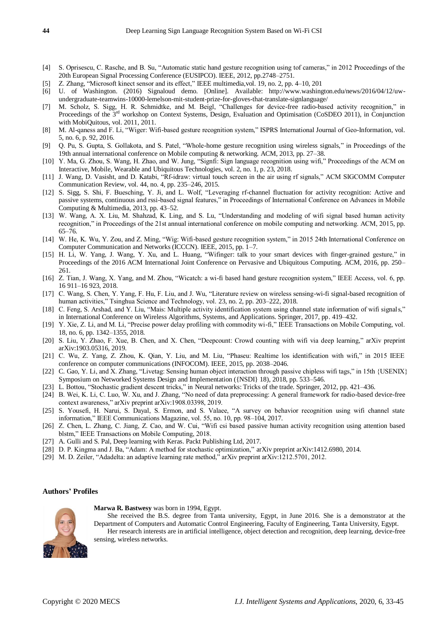- [4] S. Oprisescu, C. Rasche, and B. Su, "Automatic static hand gesture recognition using tof cameras," in 2012 Proceedings of the 20th European Signal Processing Conference (EUSIPCO). IEEE, 2012, pp.2748–2751.
- [5] Z. Zhang, "Microsoft kinect sensor and its effect," IEEE multimedia,vol. 19, no. 2, pp. 4–10, 201
- [6] U. of Washington. (2016) Signaloud demo. [Online]. Available: http://www.washington.edu/news/2016/04/12/uwundergraduate-teamwins-10000-lemelson-mit-student-prize-for-gloves-that-translate-signlanguage/
- [7] M. Scholz, S. Sigg, H. R. Schmidtke, and M. Beigl, "Challenges for device-free radio-based activity recognition," in Proceedings of the 3<sup>rd</sup> workshop on Context Systems, Design, Evaluation and Optimisation (CoSDEO 2011), in Conjunction with MobiQuitous, vol. 2011, 2011.
- [8] M. Al-qaness and F. Li, "Wiger: Wifi-based gesture recognition system," ISPRS International Journal of Geo-Information, vol. 5, no. 6, p. 92, 2016.
- [9] Q. Pu, S. Gupta, S. Gollakota, and S. Patel, "Whole-home gesture recognition using wireless signals," in Proceedings of the 19th annual international conference on Mobile computing & networking. ACM, 2013, pp. 27–38.
- [10] Y. Ma, G. Zhou, S. Wang, H. Zhao, and W. Jung, "Signfi: Sign language recognition using wifi," Proceedings of the ACM on Interactive, Mobile, Wearable and Ubiquitous Technologies, vol. 2, no. 1, p. 23, 2018.
- [11] J. Wang, D. Vasisht, and D. Katabi, "Rf-idraw: virtual touch screen in the air using rf signals," ACM SIGCOMM Computer Communication Review, vol. 44, no. 4, pp. 235–246, 2015.
- [12] S. Sigg, S. Shi, F. Buesching, Y. Ji, and L. Wolf, "Leveraging rf-channel fluctuation for activity recognition: Active and passive systems, continuous and rssi-based signal features," in Proceedings of International Conference on Advances in Mobile Computing & Multimedia, 2013, pp. 43–52.
- [13] W. Wang, A. X. Liu, M. Shahzad, K. Ling, and S. Lu, "Understanding and modeling of wifi signal based human activity recognition," in Proceedings of the 21st annual international conference on mobile computing and networking. ACM, 2015, pp. 65–76.
- [14] W. He, K. Wu, Y. Zou, and Z. Ming, "Wig: Wifi-based gesture recognition system," in 2015 24th International Conference on Computer Communication and Networks (ICCCN). IEEE, 2015, pp. 1–7.
- [15] H. Li, W. Yang, J. Wang, Y. Xu, and L. Huang, "Wifinger: talk to your smart devices with finger-grained gesture," in Proceedings of the 2016 ACM International Joint Conference on Pervasive and Ubiquitous Computing. ACM, 2016, pp. 250– 261.
- [16] Z. Tian, J. Wang, X. Yang, and M. Zhou, "Wicatch: a wi-fi based hand gesture recognition system," IEEE Access, vol. 6, pp. 16 911–16 923, 2018.
- [17] C. Wang, S. Chen, Y. Yang, F. Hu, F. Liu, and J. Wu, "Literature review on wireless sensing-wi-fi signal-based recognition of human activities," Tsinghua Science and Technology, vol. 23, no. 2, pp. 203–222, 2018.
- [18] C. Feng, S. Arshad, and Y. Liu, "Mais: Multiple activity identification system using channel state information of wifi signals," in International Conference on Wireless Algorithms, Systems, and Applications. Springer, 2017, pp. 419–432.
- [19] Y. Xie, Z. Li, and M. Li, "Precise power delay profiling with commodity wi-fi," IEEE Transactions on Mobile Computing, vol. 18, no. 6, pp. 1342–1355, 2018.
- [20] S. Liu, Y. Zhao, F. Xue, B. Chen, and X. Chen, "Deepcount: Crowd counting with wifi via deep learning," arXiv preprint arXiv:1903.05316, 2019.
- [21] C. Wu, Z. Yang, Z. Zhou, K. Qian, Y. Liu, and M. Liu, "Phaseu: Realtime los identification with wifi," in 2015 IEEE conference on computer communications (INFOCOM). IEEE, 2015, pp. 2038–2046.
- [22] C. Gao, Y. Li, and X. Zhang, "Livetag: Sensing human object interaction through passive chipless wifi tags," in 15th {USENIX} Symposium on Networked Systems Design and Implementation ({NSDI} 18), 2018, pp. 533–546.
- [23] L. Bottou, "Stochastic gradient descent tricks," in Neural networks: Tricks of the trade. Springer, 2012, pp. 421–436.
- [24] B. Wei, K. Li, C. Luo, W. Xu, and J. Zhang, "No need of data preprocessing: A general framework for radio-based device-free context awareness," arXiv preprint arXiv:1908.03398, 2019.
- [25] S. Yousefi, H. Narui, S. Dayal, S. Ermon, and S. Valaee, "A survey on behavior recognition using wifi channel state information," IEEE Communications Magazine, vol. 55, no. 10, pp. 98–104, 2017.
- [26] Z. Chen, L. Zhang, C. Jiang, Z. Cao, and W. Cui, "Wifi csi based passive human activity recognition using attention based blstm," IEEE Transactions on Mobile Computing, 2018.
- [27] A. Gulli and S. Pal, Deep learning with Keras. Packt Publishing Ltd, 2017.
- [28] D. P. Kingma and J. Ba, "Adam: A method for stochastic optimization," arXiv preprint arXiv:1412.6980, 2014.
- [29] M. D. Zeiler, "Adadelta: an adaptive learning rate method," arXiv preprint arXiv:1212.5701, 2012.

# **Authors' Profiles**



**Marwa R. Bastwesy** was born in 1994, Egypt.

She received the B.S. degree from Tanta university, Egypt, in June 2016. She is a demonstrator at the Department of Computers and Automatic Control Engineering, Faculty of Engineering, Tanta University, Egypt. Her research interests are in artificial intelligence, object detection and recognition, deep learning, device-free sensing, wireless networks.